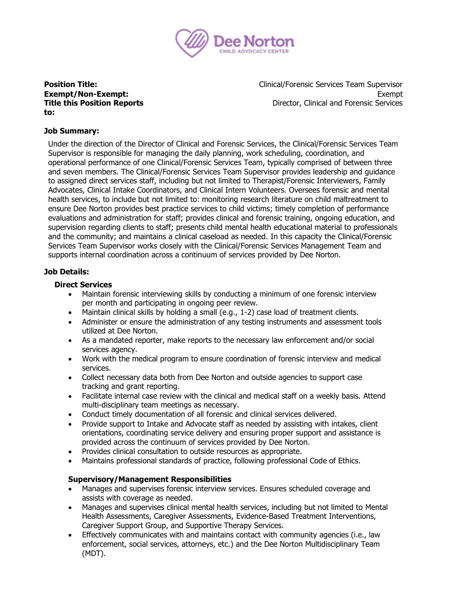

# **Title this Position Reports to:**

**Position Title:** The Clinical/Forensic Services Team Supervisor **Exempt/Non-Exempt:** Exempt: Exempt: Exempt: Exempt: Exempt: Exempt: Exempt: Exempt: Exempt: Exempt: Exempt: Exempt: Exempt: Exempt: Exempt: Exempt: Exempt: Exempt: Exempt: Exempt: Exempt: Exempt: Exempt: Exempt: Exempt: E Director, Clinical and Forensic Services

## **Job Summary:**

Under the direction of the Director of Clinical and Forensic Services, the Clinical/Forensic Services Team Supervisor is responsible for managing the daily planning, work scheduling, coordination, and operational performance of one Clinical/Forensic Services Team, typically comprised of between three and seven members. The Clinical/Forensic Services Team Supervisor provides leadership and guidance to assigned direct services staff, including but not limited to Therapist/Forensic Interviewers, Family Advocates, Clinical Intake Coordinators, and Clinical Intern Volunteers. Oversees forensic and mental health services, to include but not limited to: monitoring research literature on child maltreatment to ensure Dee Norton provides best practice services to child victims; timely completion of performance evaluations and administration for staff; provides clinical and forensic training, ongoing education, and supervision regarding clients to staff; presents child mental health educational material to professionals and the community; and maintains a clinical caseload as needed. In this capacity the Clinical/Forensic Services Team Supervisor works closely with the Clinical/Forensic Services Management Team and supports internal coordination across a continuum of services provided by Dee Norton.

## **Job Details:**

## **Direct Services**

- Maintain forensic interviewing skills by conducting a minimum of one forensic interview per month and participating in ongoing peer review.
- Maintain clinical skills by holding a small (e.g., 1-2) case load of treatment clients.
- Administer or ensure the administration of any testing instruments and assessment tools utilized at Dee Norton.
- As a mandated reporter, make reports to the necessary law enforcement and/or social services agency.
- Work with the medical program to ensure coordination of forensic interview and medical services.
- Collect necessary data both from Dee Norton and outside agencies to support case tracking and grant reporting.
- Facilitate internal case review with the clinical and medical staff on a weekly basis. Attend multi-disciplinary team meetings as necessary.
- Conduct timely documentation of all forensic and clinical services delivered.
- Provide support to Intake and Advocate staff as needed by assisting with intakes, client orientations, coordinating service delivery and ensuring proper support and assistance is provided across the continuum of services provided by Dee Norton.
- Provides clinical consultation to outside resources as appropriate.
- Maintains professional standards of practice, following professional Code of Ethics.

## **Supervisory/Management Responsibilities**

- Manages and supervises forensic interview services. Ensures scheduled coverage and assists with coverage as needed.
- Manages and supervises clinical mental health services, including but not limited to Mental Health Assessments, Caregiver Assessments, Evidence-Based Treatment Interventions, Caregiver Support Group, and Supportive Therapy Services.
- Effectively communicates with and maintains contact with community agencies (i.e., law enforcement, social services, attorneys, etc.) and the Dee Norton Multidisciplinary Team (MDT).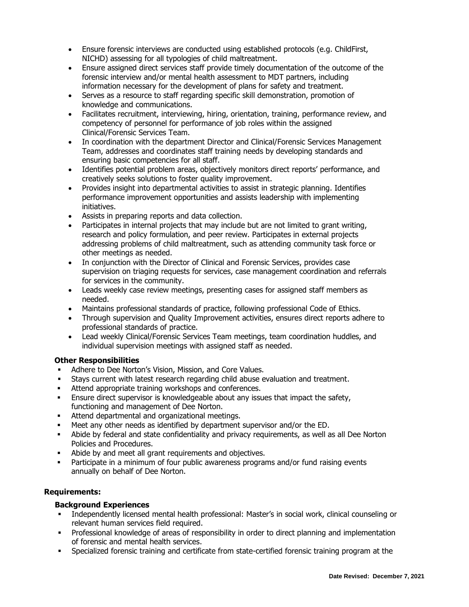- Ensure forensic interviews are conducted using established protocols (e.g. ChildFirst, NICHD) assessing for all typologies of child maltreatment.
- Ensure assigned direct services staff provide timely documentation of the outcome of the forensic interview and/or mental health assessment to MDT partners, including information necessary for the development of plans for safety and treatment.
- Serves as a resource to staff regarding specific skill demonstration, promotion of knowledge and communications.
- Facilitates recruitment, interviewing, hiring, orientation, training, performance review, and competency of personnel for performance of job roles within the assigned Clinical/Forensic Services Team.
- In coordination with the department Director and Clinical/Forensic Services Management Team, addresses and coordinates staff training needs by developing standards and ensuring basic competencies for all staff.
- Identifies potential problem areas, objectively monitors direct reports' performance, and creatively seeks solutions to foster quality improvement.
- Provides insight into departmental activities to assist in strategic planning. Identifies performance improvement opportunities and assists leadership with implementing initiatives.
- Assists in preparing reports and data collection.
- Participates in internal projects that may include but are not limited to grant writing, research and policy formulation, and peer review. Participates in external projects addressing problems of child maltreatment, such as attending community task force or other meetings as needed.
- In conjunction with the Director of Clinical and Forensic Services, provides case supervision on triaging requests for services, case management coordination and referrals for services in the community.
- Leads weekly case review meetings, presenting cases for assigned staff members as needed.
- Maintains professional standards of practice, following professional Code of Ethics.
- Through supervision and Quality Improvement activities, ensures direct reports adhere to professional standards of practice.
- Lead weekly Clinical/Forensic Services Team meetings, team coordination huddles, and individual supervision meetings with assigned staff as needed.

## **Other Responsibilities**

- Adhere to Dee Norton's Vision, Mission, and Core Values.
- Stays current with latest research regarding child abuse evaluation and treatment.
- **■** Attend appropriate training workshops and conferences.
- **Ensure direct supervisor is knowledgeable about any issues that impact the safety,** functioning and management of Dee Norton.
- Attend departmental and organizational meetings.
- Meet any other needs as identified by department supervisor and/or the ED.
- Abide by federal and state confidentiality and privacy requirements, as well as all Dee Norton Policies and Procedures.
- Abide by and meet all grant requirements and objectives.
- **•** Participate in a minimum of four public awareness programs and/or fund raising events annually on behalf of Dee Norton.

## **Requirements:**

## **Background Experiences**

- Independently licensed mental health professional: Master's in social work, clinical counseling or relevant human services field required.
- Professional knowledge of areas of responsibility in order to direct planning and implementation of forensic and mental health services.
- Specialized forensic training and certificate from state-certified forensic training program at the